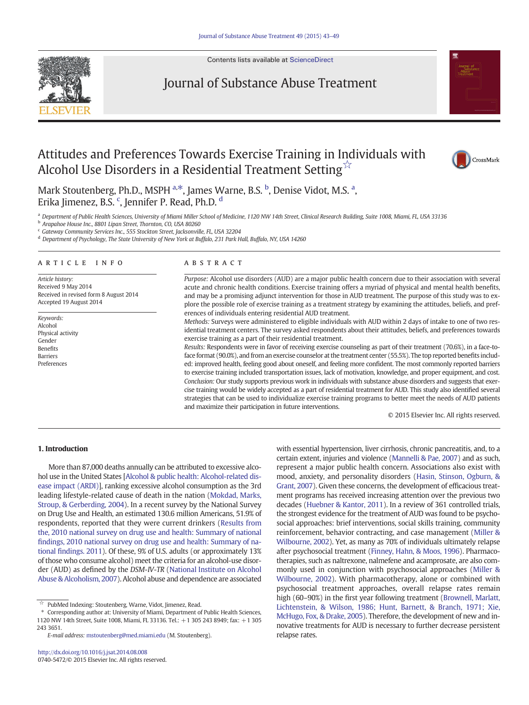Contents lists available at [ScienceDirect](http://www.sciencedirect.com/science/journal/07405472)



## Journal of Substance Abuse Treatment





Mark Stoutenberg, Ph.D., MSPH <sup>a,\*</sup>, James Warne, B.S. <sup>b</sup>, Denise Vidot, M.S. <sup>a</sup>, Erika Jimenez, B.S. <sup>c</sup>, Jennifer P. Read, Ph.D. <sup>d</sup>

a Department of Public Health Sciences, University of Miami Miller School of Medicine, 1120 NW 14th Street, Clinical Research Building, Suite 1008, Miami, FL, USA 33136

<sup>b</sup> Arapahoe House Inc., 8801 Lipan Street, Thornton, CO, USA 80260

 $\frac{c}{c}$  Gateway Community Services Inc., 555 Stockton Street, Jacksonville, FL, USA 32204

<sup>d</sup> Department of Psychology, The State University of New York at Buffalo, 231 Park Hall, Buffalo, NY, USA 14260

#### article info abstract

Article history: Received 9 May 2014 Received in revised form 8 August 2014 Accepted 19 August 2014

Keywords: Alcohol Physical activity Gender Benefits Barriers Preferences

Purpose: Alcohol use disorders (AUD) are a major public health concern due to their association with several acute and chronic health conditions. Exercise training offers a myriad of physical and mental health benefits, and may be a promising adjunct intervention for those in AUD treatment. The purpose of this study was to explore the possible role of exercise training as a treatment strategy by examining the attitudes, beliefs, and preferences of individuals entering residential AUD treatment.

Methods: Surveys were administered to eligible individuals with AUD within 2 days of intake to one of two residential treatment centers. The survey asked respondents about their attitudes, beliefs, and preferences towards exercise training as a part of their residential treatment.

Results: Respondents were in favor of receiving exercise counseling as part of their treatment (70.6%), in a face-toface format (90.0%), and from an exercise counselor at the treatment center (55.5%). The top reported benefits included: improved health, feeling good about oneself, and feeling more confident. The most commonly reported barriers to exercise training included transportation issues, lack of motivation, knowledge, and proper equipment, and cost. Conclusion: Our study supports previous work in individuals with substance abuse disorders and suggests that exercise training would be widely accepted as a part of residential treatment for AUD. This study also identified several strategies that can be used to individualize exercise training programs to better meet the needs of AUD patients and maximize their participation in future interventions.

© 2015 Elsevier Inc. All rights reserved.

### 1. Introduction

More than 87,000 deaths annually can be attributed to excessive alcohol use in the United States [\[Alcohol & public health: Alcohol-related dis](#page--1-0)[ease impact \(ARDI\)\]](#page--1-0), ranking excessive alcohol consumption as the 3rd leading lifestyle-related cause of death in the nation [\(Mokdad, Marks,](#page--1-0) [Stroup, & Gerberding, 2004](#page--1-0)). In a recent survey by the National Survey on Drug Use and Health, an estimated 130.6 million Americans, 51.9% of respondents, reported that they were current drinkers ([Results from](#page--1-0) [the, 2010 national survey on drug use and health: Summary of national](#page--1-0) fi[ndings, 2010 national survey on drug use and health: Summary of na](#page--1-0)tional fi[ndings. 2011\)](#page--1-0). Of these, 9% of U.S. adults (or approximately 13% of those who consume alcohol) meet the criteria for an alcohol-use disorder (AUD) as defined by the DSM-IV-TR [\(National Institute on Alcohol](#page--1-0) [Abuse & Alcoholism, 2007](#page--1-0)). Alcohol abuse and dependence are associated

E-mail address: [mstoutenberg@med.miami.edu](mailto:mstoutenberg@med.miami.edu) (M. Stoutenberg).

with essential hypertension, liver cirrhosis, chronic pancreatitis, and, to a certain extent, injuries and violence [\(Mannelli & Pae, 2007\)](#page--1-0) and as such, represent a major public health concern. Associations also exist with mood, anxiety, and personality disorders ([Hasin, Stinson, Ogburn, &](#page--1-0) [Grant, 2007](#page--1-0)). Given these concerns, the development of efficacious treatment programs has received increasing attention over the previous two decades [\(Huebner & Kantor, 2011](#page--1-0)). In a review of 361 controlled trials, the strongest evidence for the treatment of AUD was found to be psychosocial approaches: brief interventions, social skills training, community reinforcement, behavior contracting, and case management [\(Miller &](#page--1-0) [Wilbourne, 2002\)](#page--1-0). Yet, as many as 70% of individuals ultimately relapse after psychosocial treatment ([Finney, Hahn, & Moos, 1996\)](#page--1-0). Pharmacotherapies, such as naltrexone, nalmefene and acamprosate, are also commonly used in conjunction with psychosocial approaches [\(Miller &](#page--1-0) [Wilbourne, 2002](#page--1-0)). With pharmacotherapy, alone or combined with psychosocial treatment approaches, overall relapse rates remain high (60–90%) in the first year following treatment ([Brownell, Marlatt,](#page--1-0) [Lichtenstein, & Wilson, 1986; Hunt, Barnett, & Branch, 1971; Xie,](#page--1-0) [McHugo, Fox, & Drake, 2005](#page--1-0)). Therefore, the development of new and innovative treatments for AUD is necessary to further decrease persistent relapse rates.

<sup>☆</sup> PubMed Indexing: Stoutenberg, Warne, Vidot, Jimenez, Read.

<sup>⁎</sup> Corresponding author at: University of Miami, Department of Public Health Sciences, 1120 NW 14th Street, Suite 1008, Miami, FL 33136. Tel.: +1 305 243 8949; fax: +1 305 243 3651.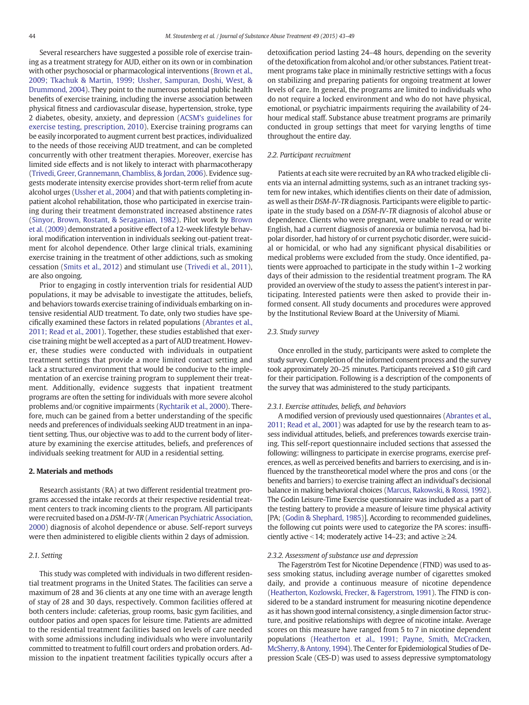Several researchers have suggested a possible role of exercise training as a treatment strategy for AUD, either on its own or in combination with other psychosocial or pharmacological interventions ([Brown et al.,](#page--1-0) [2009; Tkachuk & Martin, 1999; Ussher, Sampuran, Doshi, West, &](#page--1-0) [Drummond, 2004](#page--1-0)). They point to the numerous potential public health benefits of exercise training, including the inverse association between physical fitness and cardiovascular disease, hypertension, stroke, type 2 diabetes, obesity, anxiety, and depression [\(ACSM's guidelines for](#page--1-0) [exercise testing, prescription, 2010](#page--1-0)). Exercise training programs can be easily incorporated to augment current best practices, individualized to the needs of those receiving AUD treatment, and can be completed concurrently with other treatment therapies. Moreover, exercise has limited side effects and is not likely to interact with pharmacotherapy ([Trivedi, Greer, Grannemann, Chambliss, & Jordan, 2006\)](#page--1-0). Evidence suggests moderate intensity exercise provides short-term relief from acute alcohol urges [\(Ussher et al., 2004\)](#page--1-0) and that with patients completing inpatient alcohol rehabilitation, those who participated in exercise training during their treatment demonstrated increased abstinence rates ([Sinyor, Brown, Rostant, & Seraganian, 1982\)](#page--1-0). Pilot work by [Brown](#page--1-0) [et al. \(2009\)](#page--1-0) demonstrated a positive effect of a 12-week lifestyle behavioral modification intervention in individuals seeking out-patient treatment for alcohol dependence. Other large clinical trials, examining exercise training in the treatment of other addictions, such as smoking cessation ([Smits et al., 2012\)](#page--1-0) and stimulant use ([Trivedi et al., 2011](#page--1-0)), are also ongoing.

Prior to engaging in costly intervention trials for residential AUD populations, it may be advisable to investigate the attitudes, beliefs, and behaviors towards exercise training of individuals embarking on intensive residential AUD treatment. To date, only two studies have specifically examined these factors in related populations ([Abrantes et al.,](#page--1-0) [2011; Read et al., 2001\)](#page--1-0). Together, these studies established that exercise training might be well accepted as a part of AUD treatment. However, these studies were conducted with individuals in outpatient treatment settings that provide a more limited contact setting and lack a structured environment that would be conducive to the implementation of an exercise training program to supplement their treatment. Additionally, evidence suggests that inpatient treatment programs are often the setting for individuals with more severe alcohol problems and/or cognitive impairments ([Rychtarik et al., 2000\)](#page--1-0). Therefore, much can be gained from a better understanding of the specific needs and preferences of individuals seeking AUD treatment in an inpatient setting. Thus, our objective was to add to the current body of literature by examining the exercise attitudes, beliefs, and preferences of individuals seeking treatment for AUD in a residential setting.

#### 2. Materials and methods

Research assistants (RA) at two different residential treatment programs accessed the intake records at their respective residential treatment centers to track incoming clients to the program. All participants were recruited based on a DSM-IV-TR [\(American Psychiatric Association,](#page--1-0) [2000\)](#page--1-0) diagnosis of alcohol dependence or abuse. Self-report surveys were then administered to eligible clients within 2 days of admission.

#### 2.1. Setting

This study was completed with individuals in two different residential treatment programs in the United States. The facilities can serve a maximum of 28 and 36 clients at any one time with an average length of stay of 28 and 30 days, respectively. Common facilities offered at both centers include: cafeterias, group rooms, basic gym facilities, and outdoor patios and open spaces for leisure time. Patients are admitted to the residential treatment facilities based on levels of care needed with some admissions including individuals who were involuntarily committed to treatment to fulfill court orders and probation orders. Admission to the inpatient treatment facilities typically occurs after a detoxification period lasting 24–48 hours, depending on the severity of the detoxification from alcohol and/or other substances. Patient treatment programs take place in minimally restrictive settings with a focus on stabilizing and preparing patients for ongoing treatment at lower levels of care. In general, the programs are limited to individuals who do not require a locked environment and who do not have physical, emotional, or psychiatric impairments requiring the availability of 24 hour medical staff. Substance abuse treatment programs are primarily conducted in group settings that meet for varying lengths of time throughout the entire day.

#### 2.2. Participant recruitment

Patients at each site were recruited by an RA who tracked eligible clients via an internal admitting systems, such as an intranet tracking system for new intakes, which identifies clients on their date of admission, as well as their DSM-IV-TR diagnosis. Participants were eligible to participate in the study based on a DSM-IV-TR diagnosis of alcohol abuse or dependence. Clients who were pregnant, were unable to read or write English, had a current diagnosis of anorexia or bulimia nervosa, had bipolar disorder, had history of or current psychotic disorder, were suicidal or homicidal, or who had any significant physical disabilities or medical problems were excluded from the study. Once identified, patients were approached to participate in the study within 1–2 working days of their admission to the residential treatment program. The RA provided an overview of the study to assess the patient's interest in participating. Interested patients were then asked to provide their informed consent. All study documents and procedures were approved by the Institutional Review Board at the University of Miami.

#### 2.3. Study survey

Once enrolled in the study, participants were asked to complete the study survey. Completion of the informed consent process and the survey took approximately 20–25 minutes. Participants received a \$10 gift card for their participation. Following is a description of the components of the survey that was administered to the study participants.

#### 2.3.1. Exercise attitudes, beliefs, and behaviors

A modified version of previously used questionnaires ([Abrantes et al.,](#page--1-0) [2011; Read et al., 2001](#page--1-0)) was adapted for use by the research team to assess individual attitudes, beliefs, and preferences towards exercise training. This self-report questionnaire included sections that assessed the following: willingness to participate in exercise programs, exercise preferences, as well as perceived benefits and barriers to exercising, and is influenced by the transtheoretical model where the pros and cons (or the benefits and barriers) to exercise training affect an individual's decisional balance in making behavioral choices [\(Marcus, Rakowski, & Rossi, 1992](#page--1-0)). The Godin Leisure-Time Exercise questionnaire was included as a part of the testing battery to provide a measure of leisure time physical activity [PA; [\(Godin & Shephard, 1985](#page--1-0))]. According to recommended guidelines, the following cut points were used to categorize the PA scores: insufficiently active <14; moderately active 14–23; and active  $\geq$ 24.

#### 2.3.2. Assessment of substance use and depression

The Fagerström Test for Nicotine Dependence (FTND) was used to assess smoking status, including average number of cigarettes smoked daily, and provide a continuous measure of nicotine dependence ([Heatherton, Kozlowski, Frecker, & Fagerstrom, 1991\)](#page--1-0). The FTND is considered to be a standard instrument for measuring nicotine dependence as it has shown good internal consistency, a single dimension factor structure, and positive relationships with degree of nicotine intake. Average scores on this measure have ranged from 5 to 7 in nicotine dependent populations [\(Heatherton et al., 1991; Payne, Smith, McCracken,](#page--1-0) [McSherry, & Antony, 1994](#page--1-0)). The Center for Epidemiological Studies of Depression Scale (CES-D) was used to assess depressive symptomatology